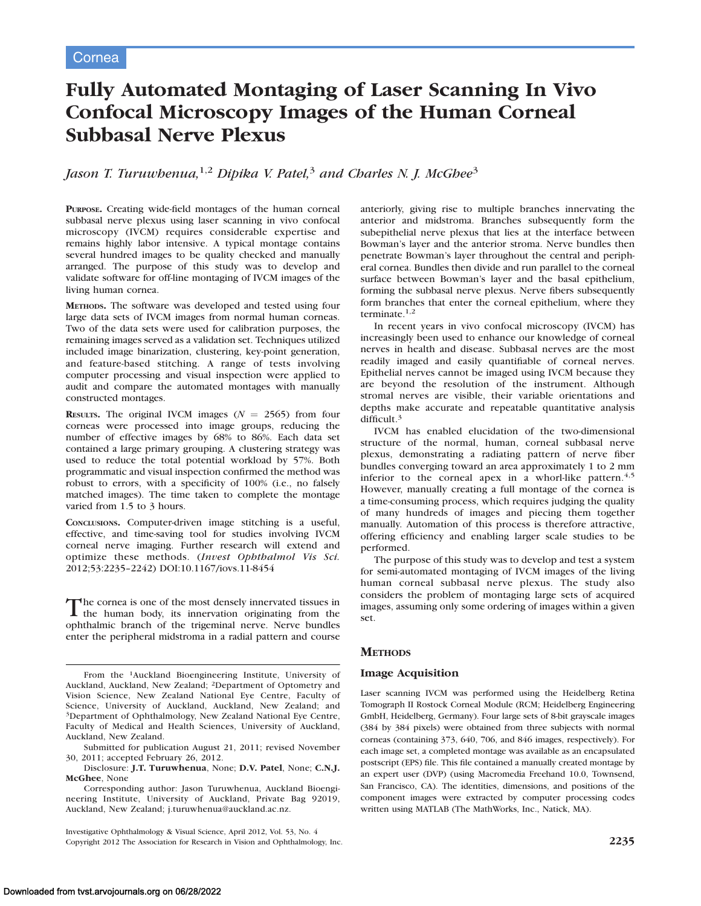# Fully Automated Montaging of Laser Scanning In Vivo Confocal Microscopy Images of the Human Corneal Subbasal Nerve Plexus

# Jason T. Turuwhenua,<sup>1,2</sup> Dipika V. Patel,<sup>3</sup> and Charles N. J. McGhee<sup>3</sup>

PURPOSE. Creating wide-field montages of the human corneal subbasal nerve plexus using laser scanning in vivo confocal microscopy (IVCM) requires considerable expertise and remains highly labor intensive. A typical montage contains several hundred images to be quality checked and manually arranged. The purpose of this study was to develop and validate software for off-line montaging of IVCM images of the living human cornea.

METHODS. The software was developed and tested using four large data sets of IVCM images from normal human corneas. Two of the data sets were used for calibration purposes, the remaining images served as a validation set. Techniques utilized included image binarization, clustering, key-point generation, and feature-based stitching. A range of tests involving computer processing and visual inspection were applied to audit and compare the automated montages with manually constructed montages.

**RESULTS.** The original IVCM images ( $N = 2565$ ) from four corneas were processed into image groups, reducing the number of effective images by 68% to 86%. Each data set contained a large primary grouping. A clustering strategy was used to reduce the total potential workload by 57%. Both programmatic and visual inspection confirmed the method was robust to errors, with a specificity of 100% (i.e., no falsely matched images). The time taken to complete the montage varied from 1.5 to 3 hours.

CONCLUSIONS. Computer-driven image stitching is a useful, effective, and time-saving tool for studies involving IVCM corneal nerve imaging. Further research will extend and optimize these methods. (Invest Ophthalmol Vis Sci. 2012;53:2235–2242) DOI:10.1167/iovs.11-8454

The cornea is one of the most densely innervated tissues in the human body, its innervation originating from the ophthalmic branch of the trigeminal nerve. Nerve bundles enter the peripheral midstroma in a radial pattern and course

Disclosure: J.T. Turuwhenua, None; D.V. Patel, None; C.N.J. McGhee, None

Corresponding author: Jason Turuwhenua, Auckland Bioengineering Institute, University of Auckland, Private Bag 92019, Auckland, New Zealand; j.turuwhenua@auckland.ac.nz.

Investigative Ophthalmology & Visual Science, April 2012, Vol. 53, No. 4 Copyright 2012 The Association for Research in Vision and Ophthalmology, Inc. 2235

anteriorly, giving rise to multiple branches innervating the anterior and midstroma. Branches subsequently form the subepithelial nerve plexus that lies at the interface between Bowman's layer and the anterior stroma. Nerve bundles then penetrate Bowman's layer throughout the central and peripheral cornea. Bundles then divide and run parallel to the corneal surface between Bowman's layer and the basal epithelium, forming the subbasal nerve plexus. Nerve fibers subsequently form branches that enter the corneal epithelium, where they terminate.<sup>1,2</sup>

In recent years in vivo confocal microscopy (IVCM) has increasingly been used to enhance our knowledge of corneal nerves in health and disease. Subbasal nerves are the most readily imaged and easily quantifiable of corneal nerves. Epithelial nerves cannot be imaged using IVCM because they are beyond the resolution of the instrument. Although stromal nerves are visible, their variable orientations and depths make accurate and repeatable quantitative analysis difficult.<sup>3</sup>

IVCM has enabled elucidation of the two-dimensional structure of the normal, human, corneal subbasal nerve plexus, demonstrating a radiating pattern of nerve fiber bundles converging toward an area approximately 1 to 2 mm inferior to the corneal apex in a whorl-like pattern.<sup>4,5</sup> However, manually creating a full montage of the cornea is a time-consuming process, which requires judging the quality of many hundreds of images and piecing them together manually. Automation of this process is therefore attractive, offering efficiency and enabling larger scale studies to be performed.

The purpose of this study was to develop and test a system for semi-automated montaging of IVCM images of the living human corneal subbasal nerve plexus. The study also considers the problem of montaging large sets of acquired images, assuming only some ordering of images within a given set.

# **METHODS**

#### Image Acquisition

Laser scanning IVCM was performed using the Heidelberg Retina Tomograph II Rostock Corneal Module (RCM; Heidelberg Engineering GmbH, Heidelberg, Germany). Four large sets of 8-bit grayscale images (384 by 384 pixels) were obtained from three subjects with normal corneas (containing 373, 640, 706, and 846 images, respectively). For each image set, a completed montage was available as an encapsulated postscript (EPS) file. This file contained a manually created montage by an expert user (DVP) (using Macromedia Freehand 10.0, Townsend, San Francisco, CA). The identities, dimensions, and positions of the component images were extracted by computer processing codes written using MATLAB (The MathWorks, Inc., Natick, MA).

From the 1Auckland Bioengineering Institute, University of Auckland, Auckland, New Zealand; 2Department of Optometry and Vision Science, New Zealand National Eye Centre, Faculty of Science, University of Auckland, Auckland, New Zealand; and <sup>3</sup>Department of Ophthalmology, New Zealand National Eye Centre, Faculty of Medical and Health Sciences, University of Auckland, Auckland, New Zealand.

Submitted for publication August 21, 2011; revised November 30, 2011; accepted February 26, 2012.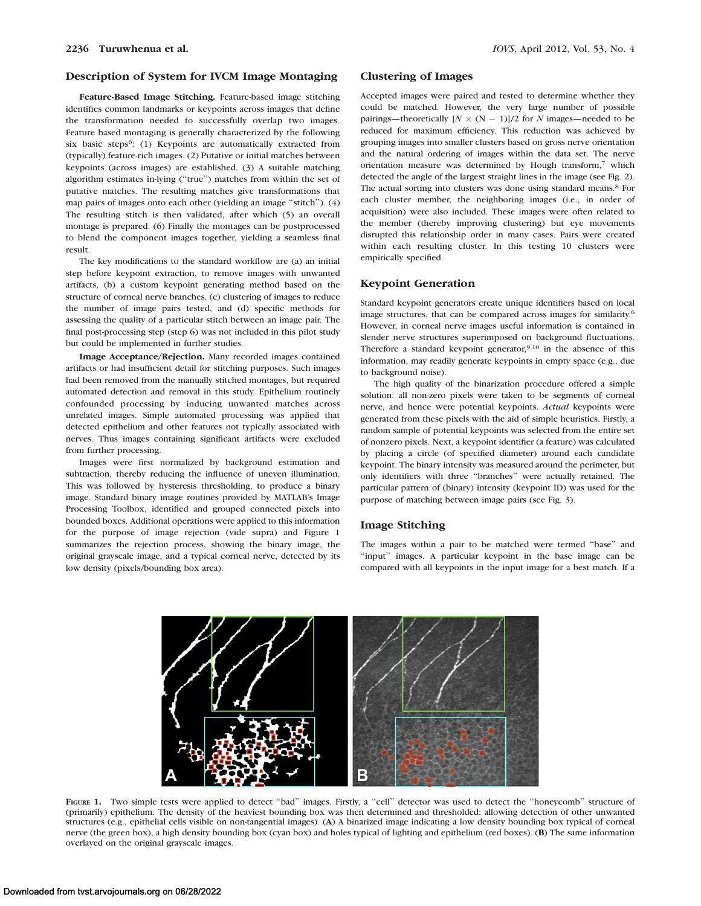# Description of System for IVCM Image Montaging

Feature-Based Image Stitching. Feature-based image stitching identifies common landmarks or keypoints across images that define the transformation needed to successfully overlap two images. Feature based montaging is generally characterized by the following six basic steps<sup>6</sup>: (1) Keypoints are automatically extracted from (typically) feature-rich images. (2) Putative or initial matches between keypoints (across images) are established. (3) A suitable matching algorithm estimates in-lying (''true'') matches from within the set of putative matches. The resulting matches give transformations that map pairs of images onto each other (yielding an image ''stitch''). (4) The resulting stitch is then validated, after which (5) an overall montage is prepared. (6) Finally the montages can be postprocessed to blend the component images together, yielding a seamless final result.

The key modifications to the standard workflow are (a) an initial step before keypoint extraction, to remove images with unwanted artifacts, (b) a custom keypoint generating method based on the structure of corneal nerve branches, (c) clustering of images to reduce the number of image pairs tested, and (d) specific methods for assessing the quality of a particular stitch between an image pair. The final post-processing step (step 6) was not included in this pilot study but could be implemented in further studies.

Image Acceptance/Rejection. Many recorded images contained artifacts or had insufficient detail for stitching purposes. Such images had been removed from the manually stitched montages, but required automated detection and removal in this study. Epithelium routinely confounded processing by inducing unwanted matches across unrelated images. Simple automated processing was applied that detected epithelium and other features not typically associated with nerves. Thus images containing significant artifacts were excluded from further processing.

Images were first normalized by background estimation and subtraction, thereby reducing the influence of uneven illumination. This was followed by hysteresis thresholding, to produce a binary image. Standard binary image routines provided by MATLAB's Image Processing Toolbox, identified and grouped connected pixels into bounded boxes. Additional operations were applied to this information for the purpose of image rejection (vide supra) and Figure 1 summarizes the rejection process, showing the binary image, the original grayscale image, and a typical corneal nerve, detected by its low density (pixels/bounding box area).

#### Clustering of Images

Accepted images were paired and tested to determine whether they could be matched. However, the very large number of possible pairings—theoretically  $[N \times (N-1)]/2$  for N images—needed to be reduced for maximum efficiency. This reduction was achieved by grouping images into smaller clusters based on gross nerve orientation and the natural ordering of images within the data set. The nerve orientation measure was determined by Hough transform,<sup>7</sup> which detected the angle of the largest straight lines in the image (see Fig. 2). The actual sorting into clusters was done using standard means.<sup>8</sup> For each cluster member, the neighboring images (i.e., in order of acquisition) were also included. These images were often related to the member (thereby improving clustering) but eye movements disrupted this relationship order in many cases. Pairs were created within each resulting cluster. In this testing 10 clusters were empirically specified.

#### Keypoint Generation

Standard keypoint generators create unique identifiers based on local image structures, that can be compared across images for similarity.6 However, in corneal nerve images useful information is contained in slender nerve structures superimposed on background fluctuations. Therefore a standard keypoint generator,  $9,10$  in the absence of this information, may readily generate keypoints in empty space (e.g., due to background noise).

The high quality of the binarization procedure offered a simple solution: all non-zero pixels were taken to be segments of corneal nerve, and hence were potential keypoints. Actual keypoints were generated from these pixels with the aid of simple heuristics. Firstly, a random sample of potential keypoints was selected from the entire set of nonzero pixels. Next, a keypoint identifier (a feature) was calculated by placing a circle (of specified diameter) around each candidate keypoint. The binary intensity was measured around the perimeter, but only identifiers with three ''branches'' were actually retained. The particular pattern of (binary) intensity (keypoint ID) was used for the purpose of matching between image pairs (see Fig. 3).

#### Image Stitching

The images within a pair to be matched were termed ''base'' and ''input'' images. A particular keypoint in the base image can be compared with all keypoints in the input image for a best match. If a



FIGURE 1. Two simple tests were applied to detect "bad" images. Firstly, a "cell" detector was used to detect the "honeycomb" structure of (primarily) epithelium. The density of the heaviest bounding box was then determined and thresholded: allowing detection of other unwanted structures (e.g., epithelial cells visible on non-tangential images). (A) A binarized image indicating a low density bounding box typical of corneal nerve (the green box), a high density bounding box (cyan box) and holes typical of lighting and epithelium (red boxes). (B) The same information overlayed on the original grayscale images.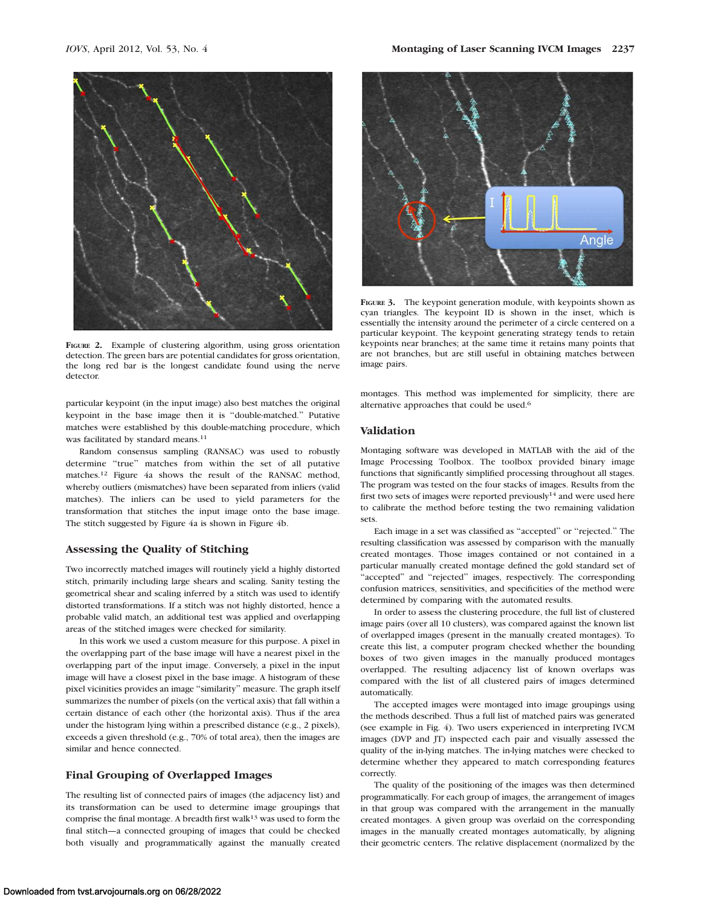

FIGURE 2. Example of clustering algorithm, using gross orientation detection. The green bars are potential candidates for gross orientation, the long red bar is the longest candidate found using the nerve detector.

particular keypoint (in the input image) also best matches the original keypoint in the base image then it is ''double-matched.'' Putative matches were established by this double-matching procedure, which was facilitated by standard means.<sup>11</sup>

Random consensus sampling (RANSAC) was used to robustly determine ''true'' matches from within the set of all putative matches.12 Figure 4a shows the result of the RANSAC method, whereby outliers (mismatches) have been separated from inliers (valid matches). The inliers can be used to yield parameters for the transformation that stitches the input image onto the base image. The stitch suggested by Figure 4a is shown in Figure 4b.

#### Assessing the Quality of Stitching

Two incorrectly matched images will routinely yield a highly distorted stitch, primarily including large shears and scaling. Sanity testing the geometrical shear and scaling inferred by a stitch was used to identify distorted transformations. If a stitch was not highly distorted, hence a probable valid match, an additional test was applied and overlapping areas of the stitched images were checked for similarity.

In this work we used a custom measure for this purpose. A pixel in the overlapping part of the base image will have a nearest pixel in the overlapping part of the input image. Conversely, a pixel in the input image will have a closest pixel in the base image. A histogram of these pixel vicinities provides an image ''similarity'' measure. The graph itself summarizes the number of pixels (on the vertical axis) that fall within a certain distance of each other (the horizontal axis). Thus if the area under the histogram lying within a prescribed distance (e.g., 2 pixels), exceeds a given threshold (e.g., 70% of total area), then the images are similar and hence connected.

#### Final Grouping of Overlapped Images

The resulting list of connected pairs of images (the adjacency list) and its transformation can be used to determine image groupings that comprise the final montage. A breadth first walk<sup>13</sup> was used to form the final stitch—a connected grouping of images that could be checked both visually and programmatically against the manually created



FIGURE 3. The keypoint generation module, with keypoints shown as cyan triangles. The keypoint ID is shown in the inset, which is essentially the intensity around the perimeter of a circle centered on a particular keypoint. The keypoint generating strategy tends to retain keypoints near branches; at the same time it retains many points that are not branches, but are still useful in obtaining matches between image pairs.

montages. This method was implemented for simplicity, there are alternative approaches that could be used.6

#### Validation

Montaging software was developed in MATLAB with the aid of the Image Processing Toolbox. The toolbox provided binary image functions that significantly simplified processing throughout all stages. The program was tested on the four stacks of images. Results from the first two sets of images were reported previously<sup>14</sup> and were used here to calibrate the method before testing the two remaining validation sets.

Each image in a set was classified as ''accepted'' or ''rejected.'' The resulting classification was assessed by comparison with the manually created montages. Those images contained or not contained in a particular manually created montage defined the gold standard set of ''accepted'' and ''rejected'' images, respectively. The corresponding confusion matrices, sensitivities, and specificities of the method were determined by comparing with the automated results.

In order to assess the clustering procedure, the full list of clustered image pairs (over all 10 clusters), was compared against the known list of overlapped images (present in the manually created montages). To create this list, a computer program checked whether the bounding boxes of two given images in the manually produced montages overlapped. The resulting adjacency list of known overlaps was compared with the list of all clustered pairs of images determined automatically.

The accepted images were montaged into image groupings using the methods described. Thus a full list of matched pairs was generated (see example in Fig. 4). Two users experienced in interpreting IVCM images (DVP and JT) inspected each pair and visually assessed the quality of the in-lying matches. The in-lying matches were checked to determine whether they appeared to match corresponding features correctly.

The quality of the positioning of the images was then determined programmatically. For each group of images, the arrangement of images in that group was compared with the arrangement in the manually created montages. A given group was overlaid on the corresponding images in the manually created montages automatically, by aligning their geometric centers. The relative displacement (normalized by the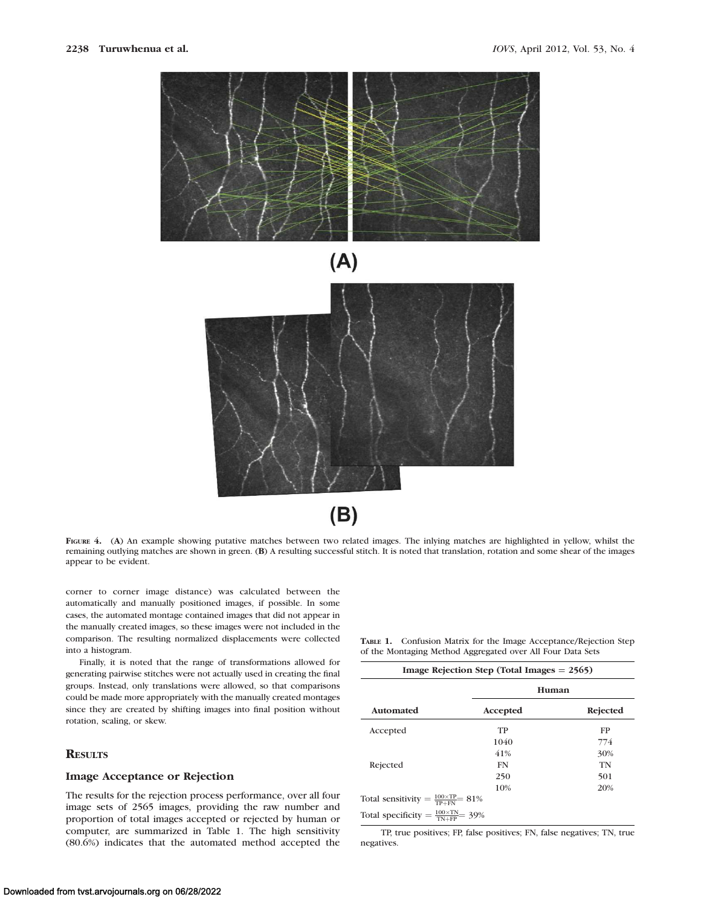

 $(B)$ 

FIGURE 4. (A) An example showing putative matches between two related images. The inlying matches are highlighted in yellow, whilst the remaining outlying matches are shown in green. (B) A resulting successful stitch. It is noted that translation, rotation and some shear of the images appear to be evident.

corner to corner image distance) was calculated between the automatically and manually positioned images, if possible. In some cases, the automated montage contained images that did not appear in the manually created images, so these images were not included in the comparison. The resulting normalized displacements were collected into a histogram.

Finally, it is noted that the range of transformations allowed for generating pairwise stitches were not actually used in creating the final groups. Instead, only translations were allowed, so that comparisons could be made more appropriately with the manually created montages since they are created by shifting images into final position without rotation, scaling, or skew.

# **RESULTS**

#### Image Acceptance or Rejection

The results for the rejection process performance, over all four image sets of 2565 images, providing the raw number and proportion of total images accepted or rejected by human or computer, are summarized in Table 1. The high sensitivity (80.6%) indicates that the automated method accepted the

TABLE 1. Confusion Matrix for the Image Acceptance/Rejection Step of the Montaging Method Aggregated over All Four Data Sets

| Image Rejection Step (Total Images $= 2565$ )          |           |          |  |  |
|--------------------------------------------------------|-----------|----------|--|--|
|                                                        | Human     |          |  |  |
| <b>Automated</b>                                       | Accepted  | Rejected |  |  |
| Accepted                                               | TP        | FP       |  |  |
|                                                        | 1040      | 774      |  |  |
|                                                        | 41%       | 30%      |  |  |
| Rejected                                               | <b>FN</b> | TN       |  |  |
|                                                        | 250       | 501      |  |  |
|                                                        | 10%       | 20%      |  |  |
| Total sensitivity = $\frac{100\times TP}{TP+FN}$ = 81% |           |          |  |  |
| Total specificity = $\frac{100 \times TN}{TN+FP}$ 39%  |           |          |  |  |

TP, true positives; FP, false positives; FN, false negatives; TN, true negatives.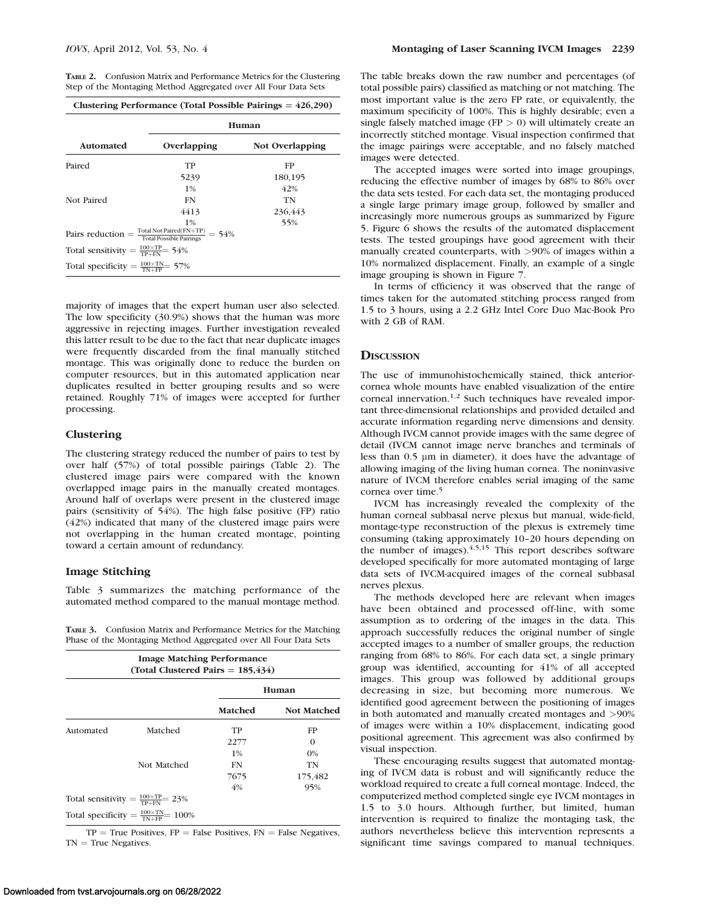TABLE 2. Confusion Matrix and Performance Metrics for the Clustering Step of the Montaging Method Aggregated over All Four Data Sets

|                                                         | Human                                                                                                    |                 |  |
|---------------------------------------------------------|----------------------------------------------------------------------------------------------------------|-----------------|--|
| <b>Automated</b>                                        | Overlapping                                                                                              | Not Overlapping |  |
| Paired                                                  | TP                                                                                                       | FP              |  |
|                                                         | 5239                                                                                                     | 180,195         |  |
|                                                         | $1\%$                                                                                                    | 42%             |  |
| Not Paired                                              | FN                                                                                                       | TN              |  |
|                                                         | 4413                                                                                                     | 236.443         |  |
|                                                         | $1\%$<br>Pairs reduction = $\frac{\text{Total Not Paired(FN+TP)}}{\text{Total Possible Pairings}}$ = 54% | 55%             |  |
| Total sensitivity = $\frac{100\times TP}{TP+FN}$ = 54%  |                                                                                                          |                 |  |
| Total specificity = $\frac{100 \times TN}{TN+FP}$ = 57% |                                                                                                          |                 |  |

majority of images that the expert human user also selected. The low specificity (30.9%) shows that the human was more aggressive in rejecting images. Further investigation revealed this latter result to be due to the fact that near duplicate images were frequently discarded from the final manually stitched montage. This was originally done to reduce the burden on computer resources, but in this automated application near duplicates resulted in better grouping results and so were retained. Roughly 71% of images were accepted for further processing.

# **Clustering**

The clustering strategy reduced the number of pairs to test by over half (57%) of total possible pairings (Table 2). The clustered image pairs were compared with the known overlapped image pairs in the manually created montages. Around half of overlaps were present in the clustered image pairs (sensitivity of 54%). The high false positive (FP) ratio (42%) indicated that many of the clustered image pairs were not overlapping in the human created montage, pointing toward a certain amount of redundancy.

### Image Stitching

Table 3 summarizes the matching performance of the automated method compared to the manual montage method.

TABLE 3. Confusion Matrix and Performance Metrics for the Matching Phase of the Montaging Method Aggregated over All Four Data Sets

| <b>Image Matching Performance</b><br>(Total Clustered Pairs $= 185,434$ ) |                                                          |                |                    |  |
|---------------------------------------------------------------------------|----------------------------------------------------------|----------------|--------------------|--|
|                                                                           |                                                          | Human          |                    |  |
|                                                                           |                                                          | <b>Matched</b> | <b>Not Matched</b> |  |
| Automated                                                                 | Matched                                                  | TP             | FP                 |  |
|                                                                           |                                                          | 2277           | $\Omega$           |  |
|                                                                           |                                                          | $1\%$          | $0\%$              |  |
|                                                                           | Not Matched                                              | FN             | TN                 |  |
|                                                                           |                                                          | 7675           | 175,482            |  |
|                                                                           |                                                          | 4%             | 95%                |  |
|                                                                           | Total sensitivity = $\frac{100\times TP}{TP+FN}$ = 23%   |                |                    |  |
|                                                                           | Total specificity = $\frac{100 \times TN}{TN+FP}$ = 100% |                |                    |  |

 $TP = True$  Positives,  $FP = False$  Positives,  $FN = False$  Negatives,  $TN = True Negatives.$ 

The table breaks down the raw number and percentages (of total possible pairs) classified as matching or not matching. The most important value is the zero FP rate, or equivalently, the maximum specificity of 100%. This is highly desirable; even a single falsely matched image ( $FP > 0$ ) will ultimately create an incorrectly stitched montage. Visual inspection confirmed that the image pairings were acceptable, and no falsely matched images were detected.

The accepted images were sorted into image groupings, reducing the effective number of images by 68% to 86% over the data sets tested. For each data set, the montaging produced a single large primary image group, followed by smaller and increasingly more numerous groups as summarized by Figure 5. Figure 6 shows the results of the automated displacement tests. The tested groupings have good agreement with their manually created counterparts, with >90% of images within a 10% normalized displacement. Finally, an example of a single image grouping is shown in Figure 7.

In terms of efficiency it was observed that the range of times taken for the automated stitching process ranged from 1.5 to 3 hours, using a 2.2 GHz Intel Core Duo Mac-Book Pro with 2 GB of RAM.

#### **DISCUSSION**

The use of immunohistochemically stained, thick anteriorcornea whole mounts have enabled visualization of the entire corneal innervation.1,2 Such techniques have revealed important three-dimensional relationships and provided detailed and accurate information regarding nerve dimensions and density. Although IVCM cannot provide images with the same degree of detail (IVCM cannot image nerve branches and terminals of less than 0.5  $\mu$ m in diameter), it does have the advantage of allowing imaging of the living human cornea. The noninvasive nature of IVCM therefore enables serial imaging of the same cornea over time.<sup>5</sup>

IVCM has increasingly revealed the complexity of the human corneal subbasal nerve plexus but manual, wide-field, montage-type reconstruction of the plexus is extremely time consuming (taking approximately 10–20 hours depending on the number of images). $4,5,15$  This report describes software developed specifically for more automated montaging of large data sets of IVCM-acquired images of the corneal subbasal nerves plexus.

The methods developed here are relevant when images have been obtained and processed off-line, with some assumption as to ordering of the images in the data. This approach successfully reduces the original number of single accepted images to a number of smaller groups, the reduction ranging from 68% to 86%. For each data set, a single primary group was identified, accounting for 41% of all accepted images. This group was followed by additional groups decreasing in size, but becoming more numerous. We identified good agreement between the positioning of images in both automated and manually created montages and >90% of images were within a 10% displacement, indicating good positional agreement. This agreement was also confirmed by visual inspection.

These encouraging results suggest that automated montaging of IVCM data is robust and will significantly reduce the workload required to create a full corneal montage. Indeed, the computerized method completed single eye IVCM montages in 1.5 to 3.0 hours. Although further, but limited, human intervention is required to finalize the montaging task, the authors nevertheless believe this intervention represents a significant time savings compared to manual techniques.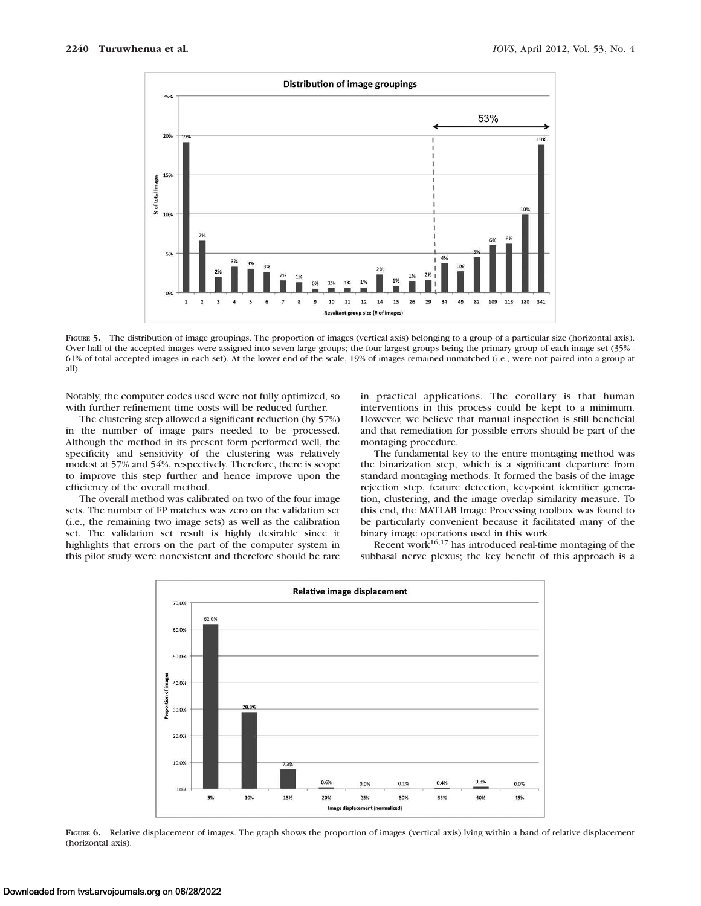

FIGURE 5. The distribution of image groupings. The proportion of images (vertical axis) belonging to a group of a particular size (horizontal axis). Over half of the accepted images were assigned into seven large groups; the four largest groups being the primary group of each image set (35% - 61% of total accepted images in each set). At the lower end of the scale, 19% of images remained unmatched (i.e., were not paired into a group at all).

Notably, the computer codes used were not fully optimized, so with further refinement time costs will be reduced further.

The clustering step allowed a significant reduction (by 57%) in the number of image pairs needed to be processed. Although the method in its present form performed well, the specificity and sensitivity of the clustering was relatively modest at 57% and 54%, respectively. Therefore, there is scope to improve this step further and hence improve upon the efficiency of the overall method.

The overall method was calibrated on two of the four image sets. The number of FP matches was zero on the validation set (i.e., the remaining two image sets) as well as the calibration set. The validation set result is highly desirable since it highlights that errors on the part of the computer system in this pilot study were nonexistent and therefore should be rare in practical applications. The corollary is that human interventions in this process could be kept to a minimum. However, we believe that manual inspection is still beneficial and that remediation for possible errors should be part of the montaging procedure.

The fundamental key to the entire montaging method was the binarization step, which is a significant departure from standard montaging methods. It formed the basis of the image rejection step, feature detection, key-point identifier generation, clustering, and the image overlap similarity measure. To this end, the MATLAB Image Processing toolbox was found to be particularly convenient because it facilitated many of the binary image operations used in this work.

Recent work $16,17$  has introduced real-time montaging of the subbasal nerve plexus; the key benefit of this approach is a



FIGURE 6. Relative displacement of images. The graph shows the proportion of images (vertical axis) lying within a band of relative displacement (horizontal axis).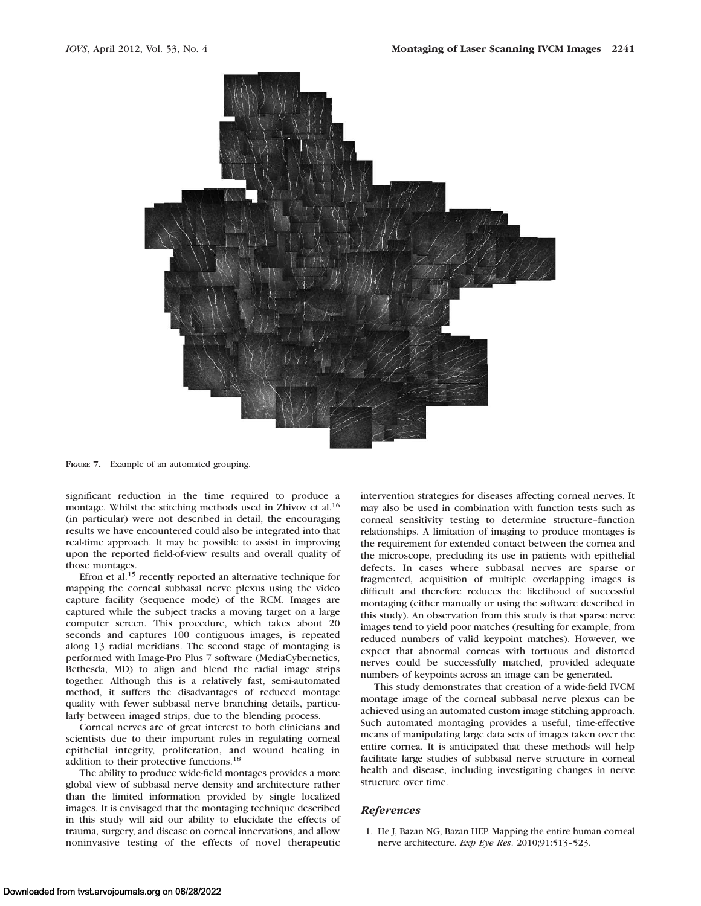

FIGURE 7. Example of an automated grouping.

significant reduction in the time required to produce a montage. Whilst the stitching methods used in Zhivov et al.<sup>16</sup> (in particular) were not described in detail, the encouraging results we have encountered could also be integrated into that real-time approach. It may be possible to assist in improving upon the reported field-of-view results and overall quality of those montages.

Efron et al.<sup>15</sup> recently reported an alternative technique for mapping the corneal subbasal nerve plexus using the video capture facility (sequence mode) of the RCM. Images are captured while the subject tracks a moving target on a large computer screen. This procedure, which takes about 20 seconds and captures 100 contiguous images, is repeated along 13 radial meridians. The second stage of montaging is performed with Image-Pro Plus 7 software (MediaCybernetics, Bethesda, MD) to align and blend the radial image strips together. Although this is a relatively fast, semi-automated method, it suffers the disadvantages of reduced montage quality with fewer subbasal nerve branching details, particularly between imaged strips, due to the blending process.

Corneal nerves are of great interest to both clinicians and scientists due to their important roles in regulating corneal epithelial integrity, proliferation, and wound healing in addition to their protective functions.<sup>18</sup>

The ability to produce wide-field montages provides a more global view of subbasal nerve density and architecture rather than the limited information provided by single localized images. It is envisaged that the montaging technique described in this study will aid our ability to elucidate the effects of trauma, surgery, and disease on corneal innervations, and allow noninvasive testing of the effects of novel therapeutic intervention strategies for diseases affecting corneal nerves. It may also be used in combination with function tests such as corneal sensitivity testing to determine structure–function relationships. A limitation of imaging to produce montages is the requirement for extended contact between the cornea and the microscope, precluding its use in patients with epithelial defects. In cases where subbasal nerves are sparse or fragmented, acquisition of multiple overlapping images is difficult and therefore reduces the likelihood of successful montaging (either manually or using the software described in this study). An observation from this study is that sparse nerve images tend to yield poor matches (resulting for example, from reduced numbers of valid keypoint matches). However, we expect that abnormal corneas with tortuous and distorted nerves could be successfully matched, provided adequate numbers of keypoints across an image can be generated.

This study demonstrates that creation of a wide-field IVCM montage image of the corneal subbasal nerve plexus can be achieved using an automated custom image stitching approach. Such automated montaging provides a useful, time-effective means of manipulating large data sets of images taken over the entire cornea. It is anticipated that these methods will help facilitate large studies of subbasal nerve structure in corneal health and disease, including investigating changes in nerve structure over time.

#### References

1. He J, Bazan NG, Bazan HEP. Mapping the entire human corneal nerve architecture. Exp Eye Res. 2010;91:513–523.